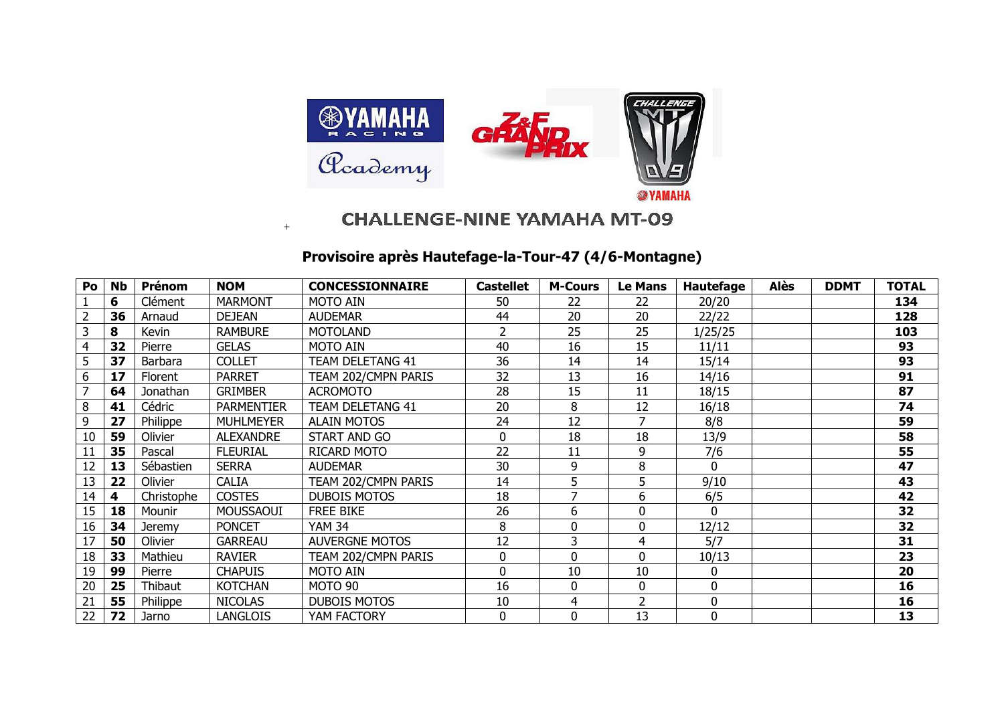

## **CHALLENGE-NINE YAMAHA MT-09**

## **Provisoire après Hautefage-la-Tour-47 (4/6-Montagne)**

+

| Po | <b>Nb</b> | Prénom     | <b>NOM</b>        | <b>CONCESSIONNAIRE</b> | <b>Castellet</b> | <b>M-Cours</b> | <b>Le Mans</b> | <b>Hautefage</b> | <b>Alès</b> | <b>DDMT</b> | <b>TOTAL</b> |
|----|-----------|------------|-------------------|------------------------|------------------|----------------|----------------|------------------|-------------|-------------|--------------|
|    | 6         | Clément    | <b>MARMONT</b>    | MOTO AIN               | 50               | 22             | 22             | 20/20            |             |             | 134          |
|    | 36        | Arnaud     | <b>DEJEAN</b>     | <b>AUDEMAR</b>         | 44               | 20             | 20             | 22/22            |             |             | 128          |
| 3  | 8         | Kevin      | <b>RAMBURE</b>    | <b>MOTOLAND</b>        | 2                | 25             | 25             | 1/25/25          |             |             | 103          |
|    | 32        | Pierre     | <b>GELAS</b>      | MOTO AIN               | 40               | 16             | 15             | 11/11            |             |             | 93           |
| 5  | 37        | Barbara    | <b>COLLET</b>     | TEAM DELETANG 41       | 36               | 14             | 14             | 15/14            |             |             | 93           |
| 6  | 17        | Florent    | <b>PARRET</b>     | TEAM 202/CMPN PARIS    | 32               | 13             | 16             | 14/16            |             |             | 91           |
|    | 64        | Jonathan   | <b>GRIMBER</b>    | <b>ACROMOTO</b>        | 28               | 15             | 11             | 18/15            |             |             | 87           |
| 8  | 41        | Cédric     | <b>PARMENTIER</b> | TEAM DELETANG 41       | 20               | 8              | 12             | 16/18            |             |             | 74           |
| 9  | 27        | Philippe   | <b>MUHLMEYER</b>  | <b>ALAIN MOTOS</b>     | 24               | 12             |                | 8/8              |             |             | 59           |
| 10 | 59        | Olivier    | <b>ALEXANDRE</b>  | START AND GO           | 0                | 18             | 18             | 13/9             |             |             | 58           |
| 11 | 35        | Pascal     | <b>FLEURIAL</b>   | RICARD MOTO            | 22               | 11             | 9              | 7/6              |             |             | 55           |
| 12 | 13        | Sébastien  | <b>SERRA</b>      | <b>AUDEMAR</b>         | 30               | 9              | 8              | $\Omega$         |             |             | 47           |
| 13 | 22        | Olivier    | <b>CALIA</b>      | TEAM 202/CMPN PARIS    | 14               | 5              | 5              | 9/10             |             |             | 43           |
| 14 | 4         | Christophe | <b>COSTES</b>     | <b>DUBOIS MOTOS</b>    | 18               |                | 6              | 6/5              |             |             | 42           |
| 15 | 18        | Mounir     | MOUSSAOUI         | <b>FREE BIKE</b>       | 26               | 6              | 0              | $\Omega$         |             |             | 32           |
| 16 | 34        | Jeremy     | <b>PONCET</b>     | <b>YAM 34</b>          | 8                | 0              | 0              | 12/12            |             |             | 32           |
| 17 | 50        | Olivier    | <b>GARREAU</b>    | <b>AUVERGNE MOTOS</b>  | 12               | 3              | 4              | 5/7              |             |             | 31           |
| 18 | 33        | Mathieu    | <b>RAVIER</b>     | TEAM 202/CMPN PARIS    | 0                | 0              | 0              | 10/13            |             |             | 23           |
| 19 | 99        | Pierre     | <b>CHAPUIS</b>    | MOTO AIN               | 0                | 10             | 10             | 0                |             |             | 20           |
| 20 | 25        | Thibaut    | <b>KOTCHAN</b>    | MOTO 90                | 16               | 0              | 0              | 0                |             |             | 16           |
| 21 | 55        | Philippe   | <b>NICOLAS</b>    | <b>DUBOIS MOTOS</b>    | 10               | 4              | $\overline{2}$ | 0                |             |             | 16           |
| 22 | 72        | Jarno      | <b>LANGLOIS</b>   | YAM FACTORY            | 0                | 0              | 13             | 0                |             |             | 13           |